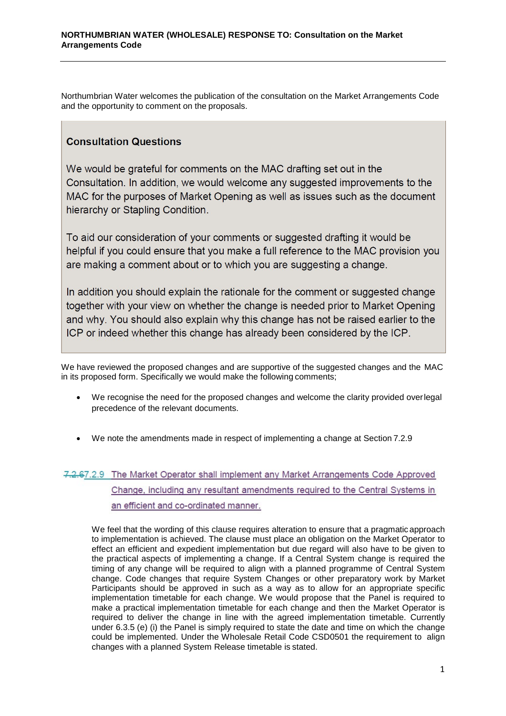Northumbrian Water welcomes the publication of the consultation on the Market Arrangements Code and the opportunity to comment on the proposals.

## **Consultation Questions**

We would be grateful for comments on the MAC drafting set out in the Consultation. In addition, we would welcome any suggested improvements to the MAC for the purposes of Market Opening as well as issues such as the document hierarchy or Stapling Condition.

To aid our consideration of your comments or suggested drafting it would be helpful if you could ensure that you make a full reference to the MAC provision you are making a comment about or to which you are suggesting a change.

In addition you should explain the rationale for the comment or suggested change together with your view on whether the change is needed prior to Market Opening and why. You should also explain why this change has not be raised earlier to the ICP or indeed whether this change has already been considered by the ICP.

We have reviewed the proposed changes and are supportive of the suggested changes and the MAC in its proposed form. Specifically we would make the following comments;

- We recognise the need for the proposed changes and welcome the clarity provided overlegal precedence of the relevant documents.
- We note the amendments made in respect of implementing a change at Section 7.2.9

## 7.2.67.2.9 The Market Operator shall implement any Market Arrangements Code Approved Change, including any resultant amendments required to the Central Systems in an efficient and co-ordinated manner.

We feel that the wording of this clause requires alteration to ensure that a pragmatic approach to implementation is achieved. The clause must place an obligation on the Market Operator to effect an efficient and expedient implementation but due regard will also have to be given to the practical aspects of implementing a change. If a Central System change is required the timing of any change will be required to align with a planned programme of Central System change. Code changes that require System Changes or other preparatory work by Market Participants should be approved in such as a way as to allow for an appropriate specific implementation timetable for each change. We would propose that the Panel is required to make a practical implementation timetable for each change and then the Market Operator is required to deliver the change in line with the agreed implementation timetable. Currently under 6.3.5 (e) (i) the Panel is simply required to state the date and time on which the change could be implemented. Under the Wholesale Retail Code CSD0501 the requirement to align changes with a planned System Release timetable is stated.